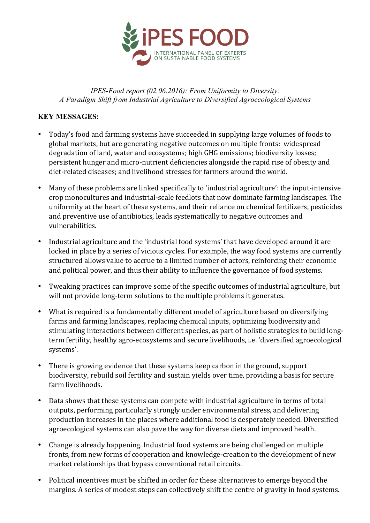

*IPES-Food report (02.06.2016): From Uniformity to Diversity: A Paradigm Shift from Industrial Agriculture to Diversified Agroecological Systems*

## **KEY MESSAGES:**

- Today's food and farming systems have succeeded in supplying large volumes of foods to global markets, but are generating negative outcomes on multiple fronts: widespread degradation of land, water and ecosystems; high GHG emissions; biodiversity losses; persistent hunger and micro-nutrient deficiencies alongside the rapid rise of obesity and diet-related diseases; and livelihood stresses for farmers around the world.
- Many of these problems are linked specifically to 'industrial agriculture': the input-intensive crop monocultures and industrial-scale feedlots that now dominate farming landscapes. The uniformity at the heart of these systems, and their reliance on chemical fertilizers, pesticides and preventive use of antibiotics, leads systematically to negative outcomes and vulnerabilities.
- Industrial agriculture and the 'industrial food systems' that have developed around it are locked in place by a series of vicious cycles. For example, the way food systems are currently structured allows value to accrue to a limited number of actors, reinforcing their economic and political power, and thus their ability to influence the governance of food systems.
- Tweaking practices can improve some of the specific outcomes of industrial agriculture, but will not provide long-term solutions to the multiple problems it generates.
- What is required is a fundamentally different model of agriculture based on diversifying farms and farming landscapes, replacing chemical inputs, optimizing biodiversity and stimulating interactions between different species, as part of holistic strategies to build longterm fertility, healthy agro-ecosystems and secure livelihoods, i.e. 'diversified agroecological systems'.
- There is growing evidence that these systems keep carbon in the ground, support biodiversity, rebuild soil fertility and sustain yields over time, providing a basis for secure farm livelihoods.
- Data shows that these systems can compete with industrial agriculture in terms of total outputs, performing particularly strongly under environmental stress, and delivering production increases in the places where additional food is desperately needed. Diversified agroecological systems can also pave the way for diverse diets and improved health.
- Change is already happening. Industrial food systems are being challenged on multiple fronts, from new forms of cooperation and knowledge-creation to the development of new market relationships that bypass conventional retail circuits.
- Political incentives must be shifted in order for these alternatives to emerge beyond the margins. A series of modest steps can collectively shift the centre of gravity in food systems.